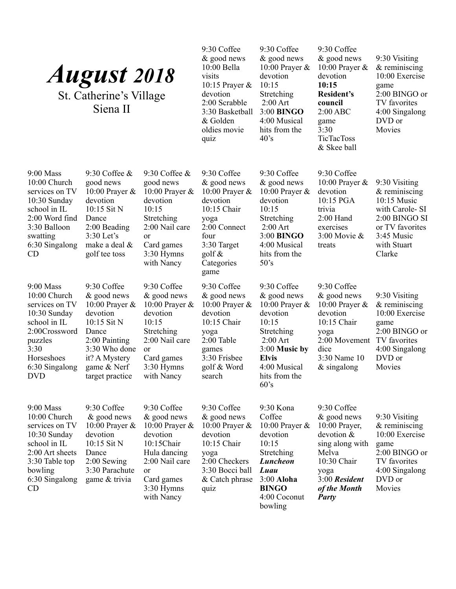| <b>August 2018</b><br>St. Catherine's Village<br>Siena II                                                                                                         |                                                                                                                                                                          |                                                                                                                                                                          | 9:30 Coffee<br>$&$ good news<br>$10:00$ Bella<br>visits<br>10:15 Prayer $\&$<br>devotion<br>2:00 Scrabble<br>3:30 Basketball<br>& Golden<br>oldies movie<br>quiz | 9:30 Coffee<br>& good news<br>10:00 Prayer $\&$<br>devotion<br>10:15<br>Stretching<br>$2:00$ Art<br>3:00 BINGO<br>4:00 Musical<br>hits from the<br>$40^{\circ}$ s            | 9:30 Coffee<br>& good news<br>10:00 Prayer &<br>devotion<br>10:15<br><b>Resident's</b><br>council<br>2:00 ABC<br>game<br>3:30<br><b>TicTacToss</b><br>& Skee ball | 9:30 Visiting<br>$&$ reminiscing<br>10:00 Exercise<br>game<br>2:00 BINGO or<br>TV favorites<br>4:00 Singalong<br>DVD or<br>Movies             |
|-------------------------------------------------------------------------------------------------------------------------------------------------------------------|--------------------------------------------------------------------------------------------------------------------------------------------------------------------------|--------------------------------------------------------------------------------------------------------------------------------------------------------------------------|------------------------------------------------------------------------------------------------------------------------------------------------------------------|------------------------------------------------------------------------------------------------------------------------------------------------------------------------------|-------------------------------------------------------------------------------------------------------------------------------------------------------------------|-----------------------------------------------------------------------------------------------------------------------------------------------|
| $9:00$ Mass<br>10:00 Church<br>services on TV<br>$10:30$ Sunday<br>school in IL<br>2:00 Word find<br>3:30 Balloon<br>swatting<br>6:30 Singalong<br><b>CD</b>      | 9:30 Coffee $\&$<br>good news<br>10:00 Prayer $\&$<br>devotion<br>10:15 Sit N<br>Dance<br>$2:00$ Beading<br>$3:30$ Let's<br>make a deal &<br>golf tee toss               | 9:30 Coffee $\&$<br>good news<br>10:00 Prayer &<br>devotion<br>10:15<br>Stretching<br>2:00 Nail care<br>or<br>Card games<br>$3:30$ Hymns<br>with Nancy                   | 9:30 Coffee<br>& good news<br>10:00 Prayer $\&$<br>devotion<br>10:15 Chair<br>yoga<br>2:00 Connect<br>four<br>3:30 Target<br>golf $\&$<br>Categories<br>game     | 9:30 Coffee<br>& good news<br>10:00 Prayer $\&$<br>devotion<br>10:15<br>Stretching<br>$2:00$ Art<br>3:00 BINGO<br>4:00 Musical<br>hits from the<br>50's                      | 9:30 Coffee<br>10:00 Prayer &<br>devotion<br>10:15 PGA<br>trivia<br>$2:00$ Hand<br>exercises<br>$3:00$ Movie &<br>treats                                          | 9:30 Visiting<br>$&$ reminiscing<br>10:15 Music<br>with Carole- SI<br>2:00 BINGO SI<br>or TV favorites<br>3:45 Music<br>with Stuart<br>Clarke |
| $9:00$ Mass<br>10:00 Church<br>services on TV<br>$10:30$ Sunday<br>school in IL<br>2:00Crossword<br>puzzles<br>3:30<br>Horseshoes<br>6:30 Singalong<br><b>DVD</b> | 9:30 Coffee<br>& good news<br>10:00 Prayer $\&$<br>devotion<br>10:15 Sit N<br>Dance<br>2:00 Painting<br>3:30 Who done<br>it? A Mystery<br>game & Nerf<br>target practice | 9:30 Coffee<br>& good news<br>10:00 Prayer $\&$<br>devotion<br>10:15<br>Stretching<br>2:00 Nail care<br><sub>or</sub><br>Card games<br>$3:30$ Hymns<br>with Nancy        | 9:30 Coffee<br>$&$ good news<br>10:00 Prayer $\&$<br>devotion<br>10:15 Chair<br>yoga<br>2:00 Table<br>games<br>3:30 Frisbee<br>golf & Word<br>search             | 9:30 Coffee<br>& good news<br>10:00 Prayer $\&$<br>devotion<br>10:15<br>Stretching<br>$2:00$ Art<br>$3:00$ Music by<br><b>Elvis</b><br>4:00 Musical<br>hits from the<br>60's | 9:30 Coffee<br>& good news<br>10:00 Prayer $\&$<br>devotion<br>10:15 Chair<br>yoga<br>2:00 Movement<br>dice<br>3:30 Name 10<br>$&$ singalong                      | 9:30 Visiting<br>$&$ reminiscing<br>10:00 Exercise<br>game<br>$2:00$ BINGO or<br>TV favorites<br>4:00 Singalong<br>DVD or<br>Movies           |
| $9:00$ Mass<br>10:00 Church<br>services on TV<br>10:30 Sunday<br>school in IL<br>2:00 Art sheets<br>3:30 Table top<br>bowling<br>6:30 Singalong<br>CD             | 9:30 Coffee<br>$&$ good news<br>10:00 Prayer $\&$<br>devotion<br>10:15 Sit N<br>Dance<br>$2:00$ Sewing<br>3:30 Parachute<br>game & trivia                                | 9:30 Coffee<br>& good news<br>10:00 Prayer $\&$<br>devotion<br>10:15Chair<br>Hula dancing<br>2:00 Nail care<br><sub>or</sub><br>Card games<br>$3:30$ Hymns<br>with Nancy | 9:30 Coffee<br>& good news<br>10:00 Prayer $\&$<br>devotion<br>10:15 Chair<br>yoga<br>2:00 Checkers<br>3:30 Bocci ball<br>& Catch phrase<br>quiz                 | 9:30 Kona<br>Coffee<br>10:00 Prayer &<br>devotion<br>10:15<br>Stretching<br><b>Luncheon</b><br>Luau<br>3:00 Aloha<br><b>BINGO</b><br>4:00 Coconut<br>bowling                 | 9:30 Coffee<br>& good news<br>10:00 Prayer,<br>devotion &<br>sing along with<br>Melva<br>10:30 Chair<br>yoga<br>3:00 Resident<br>of the Month<br><b>Party</b>     | 9:30 Visiting<br>$&$ reminiscing<br>10:00 Exercise<br>game<br>2:00 BINGO or<br>TV favorites<br>4:00 Singalong<br>DVD or<br>Movies             |